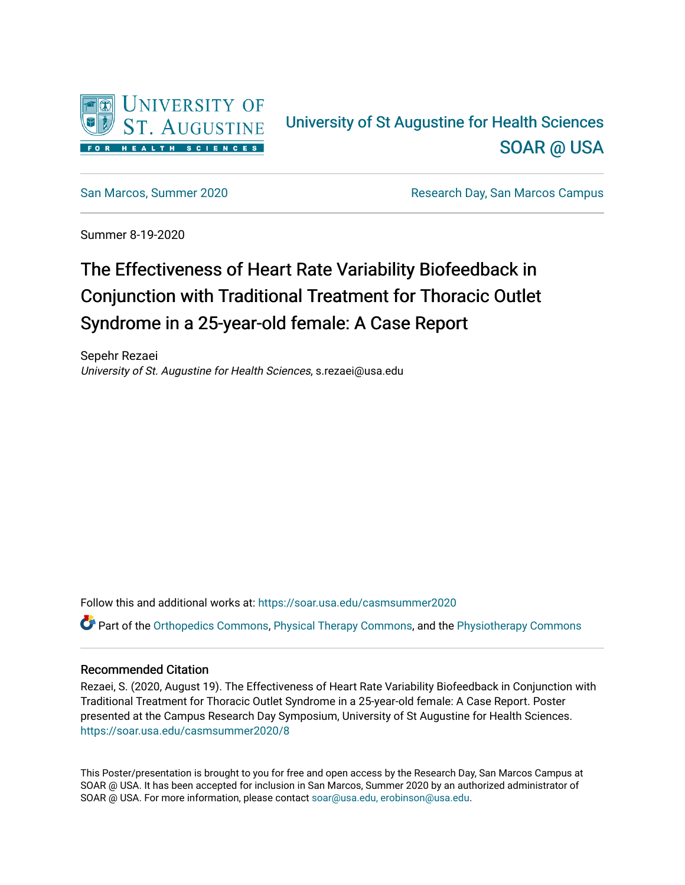

#### University of St Augustine for Health Sciences [SOAR @ USA](https://soar.usa.edu/)

[San Marcos, Summer 2020](https://soar.usa.edu/casmsummer2020) [Research Day, San Marcos Campus](https://soar.usa.edu/casmresearchday) 

Summer 8-19-2020

#### The Effectiveness of Heart Rate Variability Biofeedback in Conjunction with Traditional Treatment for Thoracic Outlet Syndrome in a 25-year-old female: A Case Report

Sepehr Rezaei University of St. Augustine for Health Sciences, s.rezaei@usa.edu

Follow this and additional works at: [https://soar.usa.edu/casmsummer2020](https://soar.usa.edu/casmsummer2020?utm_source=soar.usa.edu%2Fcasmsummer2020%2F8&utm_medium=PDF&utm_campaign=PDFCoverPages) Part of the [Orthopedics Commons](http://network.bepress.com/hgg/discipline/696?utm_source=soar.usa.edu%2Fcasmsummer2020%2F8&utm_medium=PDF&utm_campaign=PDFCoverPages), [Physical Therapy Commons,](http://network.bepress.com/hgg/discipline/754?utm_source=soar.usa.edu%2Fcasmsummer2020%2F8&utm_medium=PDF&utm_campaign=PDFCoverPages) and the [Physiotherapy Commons](http://network.bepress.com/hgg/discipline/1086?utm_source=soar.usa.edu%2Fcasmsummer2020%2F8&utm_medium=PDF&utm_campaign=PDFCoverPages)

#### Recommended Citation

Rezaei, S. (2020, August 19). The Effectiveness of Heart Rate Variability Biofeedback in Conjunction with Traditional Treatment for Thoracic Outlet Syndrome in a 25-year-old female: A Case Report. Poster presented at the Campus Research Day Symposium, University of St Augustine for Health Sciences. [https://soar.usa.edu/casmsummer2020/8](https://soar.usa.edu/casmsummer2020/8?utm_source=soar.usa.edu%2Fcasmsummer2020%2F8&utm_medium=PDF&utm_campaign=PDFCoverPages) 

This Poster/presentation is brought to you for free and open access by the Research Day, San Marcos Campus at SOAR @ USA. It has been accepted for inclusion in San Marcos, Summer 2020 by an authorized administrator of SOAR @ USA. For more information, please contact [soar@usa.edu, erobinson@usa.edu.](mailto:soar@usa.edu,%20erobinson@usa.edu)